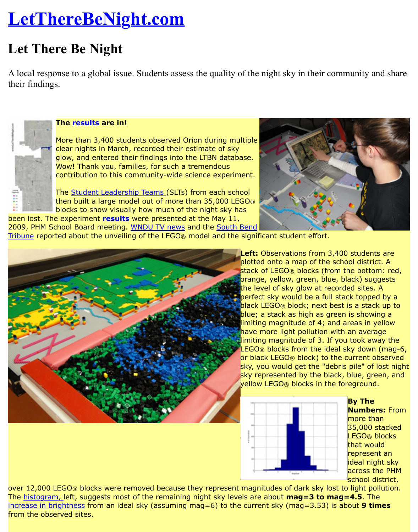A local response to a global issue. Students assess the quality of the night sky in their commu [their findings.](http://www.lettherebenight.com/index.html)



## **The results are in!**

More than 3,400 students observed Orion during multiple clear nights in March, recorded their estimate of sky glow, and entered their findings into the LTBN database. Wow! Thank you, families, for such a tremendous contribution to this community-wide science experiment.

The [Student](http://www.lettherebenight.com/results.html) Leadership Teams (SLTs) from each school then built a large model out of more than 35,000 LEGO® blocks to show visually how much of the night sky has been lost. The experiment **results** were presented at the May 11,



2009, PHM School Board meeting. WNDU TV news and the South Bend Tribune reported about the unveiling of the LEGO® model and the significant student effort.



**Left:** Observations from 3,400 st plotted onto a map of the school stack of LEGO® blocks (from the orange, yellow, green, blue, blac the level of sky glow at recorded perfect sky would be a full stack [black](http://www.southbendtribune.com/apps/pbcs.dll/article?AID=/20090518/News01/905180327/1052/News01) LEGO® block; next best is blue; a stack as high as green is limiting magnitude of 4; and are have more light pollution with an limiting magnitude of 3. If you to  $LEGO@$  blocks from the ideal sky or black LEGO® block) to the cur sky, you would get the "debris pil sky represented by the black, blue yellow LEGO® blocks in the fored



over 12,000 LEGO® blocks were removed because they represent magnitudes of dark sky lost to li The histogram, left, suggests most of the remaining night sky levels are about **mag=3 to mag=4** increase in brightness from an ideal sky (assuming mag=6) to the current sky (mag=3.53) is about from the observed sites.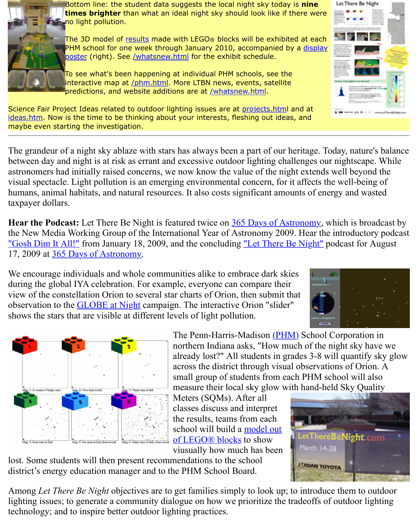

To see what's been happening at individual PHM schools, see the interactive map at /phm.html. More LTBN news, events, satellite predictions, and website additions are at /whatsnew.html.

Science Fair Project Ideas related [to outd](http://www.lettherebenight.com/results.html)oor lighting issues are at projects.html and at ideas.htm. Now [is the time to be thinking about your interests, fleshing out ideas, and](http://www.lettherebenight.com/display-sign.jpg) maybe even starting the investigat[ion.](http://www.lettherebenight.com/whatsnew.html)

The grandeur of a night sky abla[ze with star](http://www.lettherebenight.com/phm.html)s has always been a part of our heritage. Today, n between day and night is at risk as errant and excessiv[e outdoor lighti](http://www.lettherebenight.com/whatsnew.html)ng challenges our nights astronomers had initially raised concerns, we now know the value of the night extends well be visual spectacle. Light pollution is an emerging environmental [concern, for](http://www.lettherebenight.com/projects.html) it affects the well[humans, a](http://www.nightwise.org/ideas.htm)nimal habitats, and natural resources. It also costs significant amounts of energy and taxpayer dollars.

**Hear the Podcast:** Let There Be Night is featured twice on 365 Days of Astronomy, which is the New Media Working Group of the International Year of Astronomy 2009. Hear the introd "Gosh Dim It All!" from January 18, 2009, and the concluding "Let There Be Night" podcast 17, 2009 at 365 Days of Astronomy.

We encourage individuals and whole communities alike to embrace dark skies during the global IYA celebration. For example, everyone can compare their view of the constellation Orion to several star charts of Ori[on, then submit that](http://365daysofastronomy.org/) observation to the GLOBE at Night campaign. The interactive Orion "slider" [shows the stars that](http://365daysofastronomy.org/2009/01/18/january-18-gosh-dim-it-all/http://365daysofastronomy.org/2009/01/18/january-18-gosh-dim-it-all/) are visible at different levels of light pollut[ion.](http://365daysofastronomy.org/2009/08/17/august-17th-let-there-be-night/)



Meters (SQMs). After all classes discuss and interpr[et](http://www.phm.k12.in.us/) the results, teams from each school will build a model out of LEGO® blocks to show viusually how much has been



lost. Some students will then present recommendations to the school district's energy education manager and to the PHM School Board.

Among *Let There Be Night* objectives are to get families simply to look up; to introduce them lighting issues; to generate a community dia[logue on how we prioritize the](http://www.lettherebenight.com/blocks.html) tradeoffs of outdo technology; and to inspire better outdoor lighting practices.





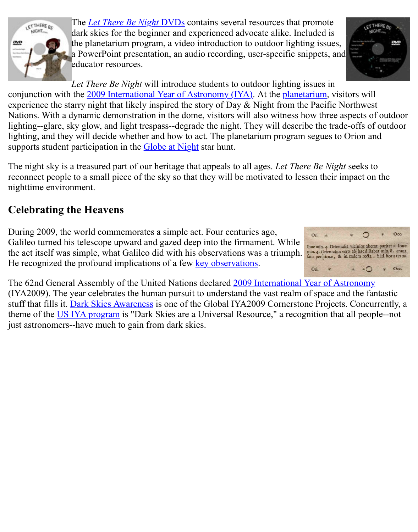

*Let There Be Night* will introduce students to outdoor lighting issues in conjunction with the [2009 International Year of](http://www.lettherebenight.com/dvd.html) Astronomy (IYA). At the planetarium, visitor experience the starry night that likely inspired the story of Day  $\&$  Night from the Pacific North Nations. With a dynamic demonstration in the dome, visitors will also witness how three aspectral of  $\alpha$ lighting--glare, sky glow, and light trespass--degrade the night. They will describe the trade-of lighting, and they will decide whether and how to act. The planetarium program segues to Orion and supports student participation in the Globe at Night star hunt.

The night sky is a tre[asured part of our heritage that appeals to all](http://www.astronomy2009.us/) ages. L[et There Be N](http://www.lettherebenight.com/pltm.html)ight se reconnect people to a small piece of the sky so that they will be motivated to lessen their impactually nighttime environment.

## **Celebrating the Heavens**

During 2009, the world commemorates a simple act. Four centuries ago, Galileo turned his telescope upward and gazed deep into the firmament. While the act itself was simple, what Galileo did with his observations was a triumph. He recognized the profound implications of a few key observations.



The 62nd General Assembly of the United Nations declared 2009 International Year of Astron (IYA2009). The year celebrates the human pursuit to understand the vast realm of space and the fantastic fantastic fantastic fantastic fantastic fantastic fantastic fantastic fantastic fantastic fantastic fantastic fantast stuff that fills it. Dark Skies Awareness is one of the Global IYA2009 Cornerstone Projects. C theme of the US IYA program is "Dark Skies are a Universal Resource," a recognition that all just astronomers--have much to gain from dark skies.